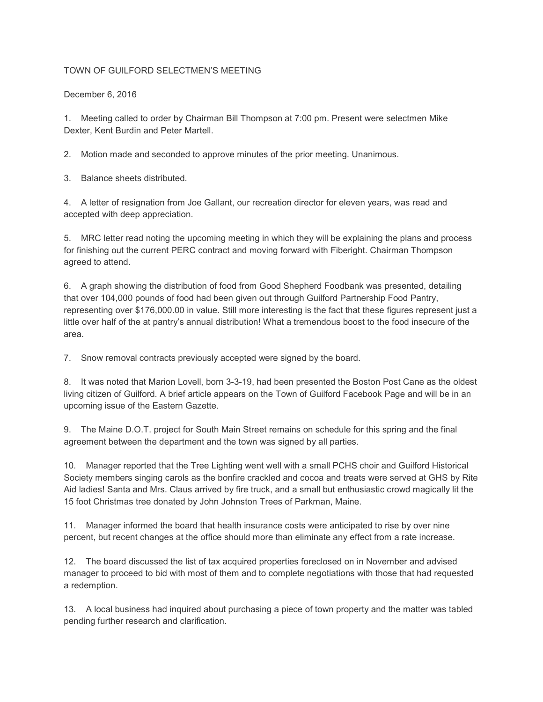## TOWN OF GUILFORD SELECTMEN'S MEETING

December 6, 2016

1. Meeting called to order by Chairman Bill Thompson at 7:00 pm. Present were selectmen Mike Dexter, Kent Burdin and Peter Martell.

2. Motion made and seconded to approve minutes of the prior meeting. Unanimous.

3. Balance sheets distributed.

4. A letter of resignation from Joe Gallant, our recreation director for eleven years, was read and accepted with deep appreciation.

5. MRC letter read noting the upcoming meeting in which they will be explaining the plans and process for finishing out the current PERC contract and moving forward with Fiberight. Chairman Thompson agreed to attend.

6. A graph showing the distribution of food from Good Shepherd Foodbank was presented, detailing that over 104,000 pounds of food had been given out through Guilford Partnership Food Pantry, representing over \$176,000.00 in value. Still more interesting is the fact that these figures represent just a little over half of the at pantry's annual distribution! What a tremendous boost to the food insecure of the area.

7. Snow removal contracts previously accepted were signed by the board.

8. It was noted that Marion Lovell, born 3-3-19, had been presented the Boston Post Cane as the oldest living citizen of Guilford. A brief article appears on the Town of Guilford Facebook Page and will be in an upcoming issue of the Eastern Gazette.

9. The Maine D.O.T. project for South Main Street remains on schedule for this spring and the final agreement between the department and the town was signed by all parties.

10. Manager reported that the Tree Lighting went well with a small PCHS choir and Guilford Historical Society members singing carols as the bonfire crackled and cocoa and treats were served at GHS by Rite Aid ladies! Santa and Mrs. Claus arrived by fire truck, and a small but enthusiastic crowd magically lit the 15 foot Christmas tree donated by John Johnston Trees of Parkman, Maine.

11. Manager informed the board that health insurance costs were anticipated to rise by over nine percent, but recent changes at the office should more than eliminate any effect from a rate increase.

12. The board discussed the list of tax acquired properties foreclosed on in November and advised manager to proceed to bid with most of them and to complete negotiations with those that had requested a redemption.

13. A local business had inquired about purchasing a piece of town property and the matter was tabled pending further research and clarification.